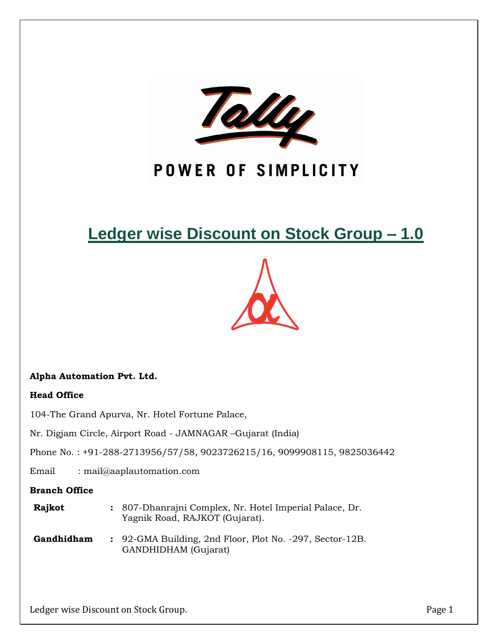

# POWER OF SIMPLICITY

# **Ledger wise Discount on Stock Group – 1.0**



## **Alpha Automation Pvt. Ltd.**

### **Head Office**

104-The Grand Apurva, Nr. Hotel Fortune Palace,

Nr. Digjam Circle, Airport Road - JAMNAGAR –Gujarat (India)

Phone No. : +91-288-2713956/57/58, 9023726215/16, 9099908115, 9825036442

Email : mail@aaplautomation.com

### **Branch Office**

- **Rajkot :** 807-Dhanrajni Complex, Nr. Hotel Imperial Palace, Dr. Yagnik Road, RAJKOT (Gujarat).
- **Gandhidham :** 92-GMA Building, 2nd Floor, Plot No. -297, Sector-12B. GANDHIDHAM (Gujarat)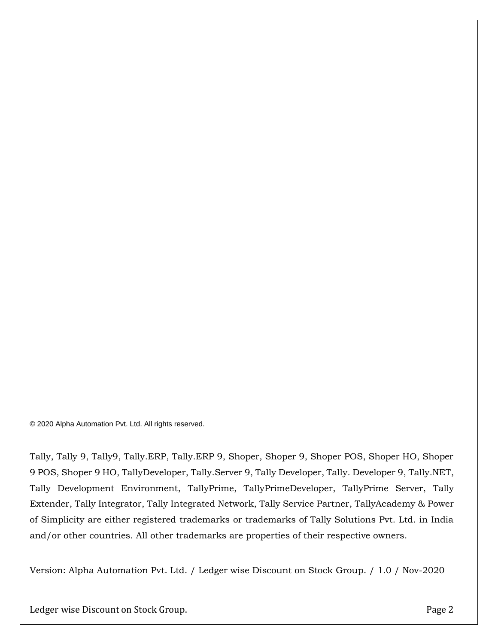© 2020 Alpha Automation Pvt. Ltd. All rights reserved.

Tally, Tally 9, Tally9, Tally.ERP, Tally.ERP 9, Shoper, Shoper 9, Shoper POS, Shoper HO, Shoper 9 POS, Shoper 9 HO, TallyDeveloper, Tally.Server 9, Tally Developer, Tally. Developer 9, Tally.NET, Tally Development Environment, TallyPrime, TallyPrimeDeveloper, TallyPrime Server, Tally Extender, Tally Integrator, Tally Integrated Network, Tally Service Partner, TallyAcademy & Power of Simplicity are either registered trademarks or trademarks of Tally Solutions Pvt. Ltd. in India and/or other countries. All other trademarks are properties of their respective owners.

Version: Alpha Automation Pvt. Ltd. / Ledger wise Discount on Stock Group. / 1.0 / Nov-2020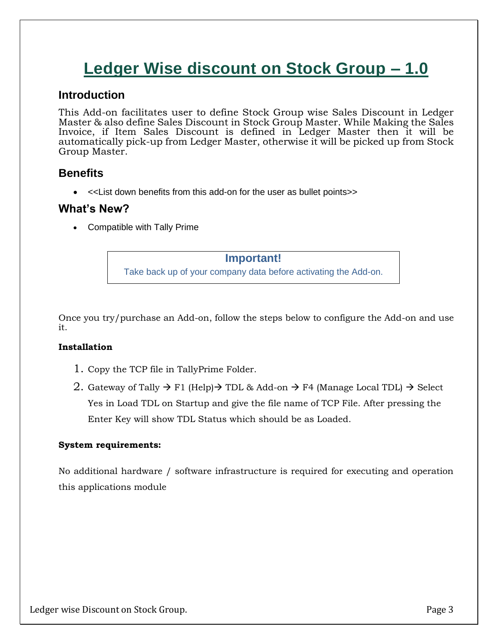# **Ledger Wise discount on Stock Group – 1.0**

## **Introduction**

This Add-on facilitates user to define Stock Group wise Sales Discount in Ledger Master & also define Sales Discount in Stock Group Master. While Making the Sales Invoice, if Item Sales Discount is defined in Ledger Master then it will be automatically pick-up from Ledger Master, otherwise it will be picked up from Stock Group Master.

# **Benefits**

• <<List down benefits from this add-on for the user as bullet points>>

## **What's New?**

• Compatible with Tally Prime

#### **Important!**

Take back up of your company data before activating the Add-on.

Once you try/purchase an Add-on, follow the steps below to configure the Add-on and use it.

### **Installation**

- 1. Copy the TCP file in TallyPrime Folder.
- 2. Gateway of Tally  $\rightarrow$  F1 (Help) $\rightarrow$  TDL & Add-on  $\rightarrow$  F4 (Manage Local TDL)  $\rightarrow$  Select Yes in Load TDL on Startup and give the file name of TCP File. After pressing the Enter Key will show TDL Status which should be as Loaded.

### **System requirements:**

No additional hardware / software infrastructure is required for executing and operation this applications module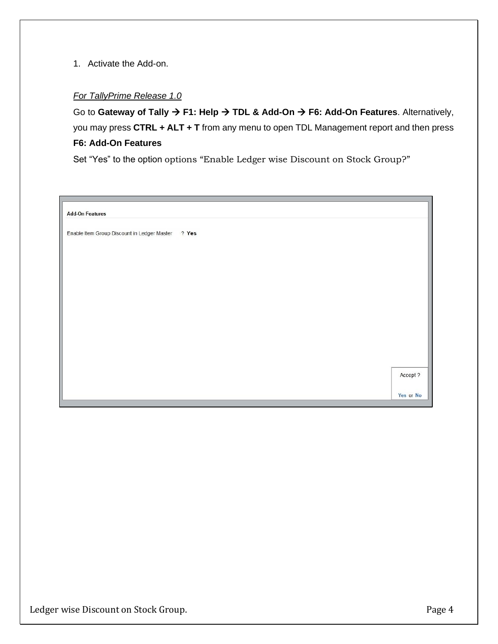1. Activate the Add-on.

#### *For TallyPrime Release 1.0*

Go to **Gateway of Tally** → **F1: Help** → **TDL & Add-On** → **F6: Add-On Features**. Alternatively, you may press **CTRL + ALT + T** from any menu to open TDL Management report and then press **F6: Add-On Features**

Set "Yes" to the option options "Enable Ledger wise Discount on Stock Group?"

| <b>Add-On Features</b>                               |           |
|------------------------------------------------------|-----------|
| Enable Item Group Discount in Ledger Master<br>? Yes |           |
|                                                      |           |
|                                                      |           |
|                                                      |           |
|                                                      |           |
|                                                      |           |
|                                                      |           |
|                                                      |           |
|                                                      |           |
|                                                      | Accept ?  |
|                                                      | Yes or No |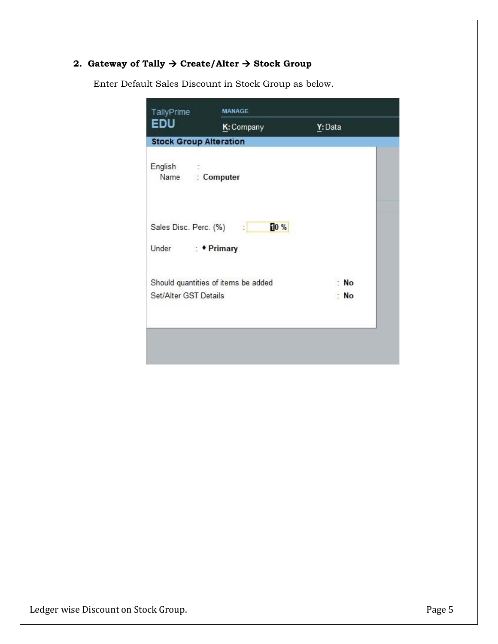## **2. Gateway of Tally** → **Create/Alter** → **Stock Group**

| EDU                           | K: Company                          | Y: Data |
|-------------------------------|-------------------------------------|---------|
|                               |                                     |         |
| <b>Stock Group Alteration</b> |                                     |         |
| English                       |                                     |         |
| Name: : Computer              |                                     |         |
|                               |                                     |         |
|                               |                                     |         |
| Sales Disc. Perc. (%) :       | 10%                                 |         |
| Under : <i>•</i> Primary      |                                     |         |
|                               | Should quantities of items be added | : No    |
| Set/Alter GST Details         |                                     | : No    |
|                               |                                     |         |
|                               |                                     |         |

Enter Default Sales Discount in Stock Group as below.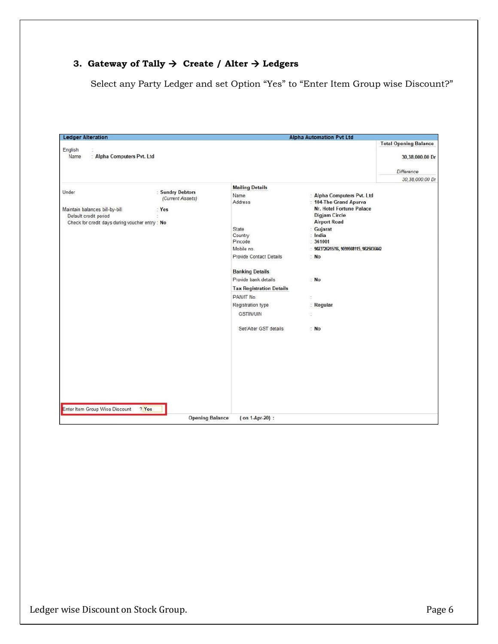## **3. Gateway of Tally** → **Create / Alter** → **Ledgers**

Select any Party Ledger and set Option "Yes" to "Enter Item Group wise Discount?"

| <b>Ledger Alteration</b>                                                                                           |                                             |                                                                                                                                                                                                                                                                                        | <b>Alpha Automation Pvt Ltd</b>                                                                                                                                                                                                                                          |                                                 |
|--------------------------------------------------------------------------------------------------------------------|---------------------------------------------|----------------------------------------------------------------------------------------------------------------------------------------------------------------------------------------------------------------------------------------------------------------------------------------|--------------------------------------------------------------------------------------------------------------------------------------------------------------------------------------------------------------------------------------------------------------------------|-------------------------------------------------|
| English<br>: Alpha Computers Pvt. Ltd<br>Name                                                                      |                                             |                                                                                                                                                                                                                                                                                        |                                                                                                                                                                                                                                                                          | <b>Total Opening Balance</b><br>30,38,000.00 Dr |
|                                                                                                                    |                                             |                                                                                                                                                                                                                                                                                        |                                                                                                                                                                                                                                                                          | Difference                                      |
| Under<br>Maintain balances bill-by-bill<br>Default credit period<br>Check for credit days during voucher entry: No | : Sundry Debtors<br>(Current Assets)<br>Yes | <b>Mailing Details</b><br>Name<br>Address<br>State<br>Country<br>Pincode<br>Mobile no.<br>Provide Contact Details<br><b>Banking Details</b><br>Provide bank details<br><b>Tax Registration Details</b><br>PAN/IT No.<br>Registration type<br><b>GSTIN/UIN</b><br>Set/Alter GST details | : Alpha Computers Pvt. Ltd<br>: 104-The Grand Apurva<br>Nr. Hotel Fortune Palace<br><b>Digjam Circle</b><br><b>Airport Road</b><br>Gujarat<br>India<br>361001<br>ż<br>9023726215/16, 9099908115, 9825036442<br>: No<br>N <sub>o</sub><br>Regular<br>ś<br>t<br>$\cdot$ No | 30.38.000.00 Dr                                 |
|                                                                                                                    |                                             |                                                                                                                                                                                                                                                                                        |                                                                                                                                                                                                                                                                          |                                                 |
| Enter Item Group Wise Discount                                                                                     | ? Yes                                       |                                                                                                                                                                                                                                                                                        |                                                                                                                                                                                                                                                                          |                                                 |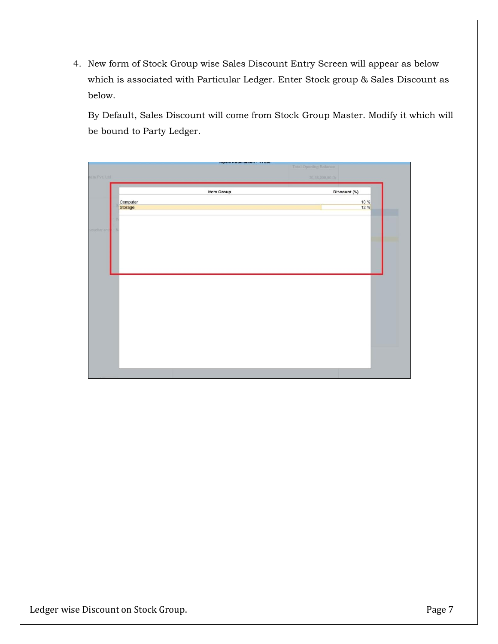4. New form of Stock Group wise Sales Discount Entry Screen will appear as below which is associated with Particular Ledger. Enter Stock group & Sales Discount as below.

By Default, Sales Discount will come from Stock Group Master. Modify it which will be bound to Party Ledger.

|                     |            | <b>Total Opening Balance</b> |
|---------------------|------------|------------------------------|
| ders Pvt. Ltd       |            | 30,38,000.00 Dr              |
|                     | Item Group | Discount (%)                 |
| Computer<br>Storage |            | $\frac{10\%}{12\%}$          |
|                     |            |                              |
| voucher entr        |            |                              |
|                     |            |                              |
|                     |            |                              |
|                     |            |                              |
|                     |            |                              |
|                     |            |                              |
|                     |            |                              |
|                     |            |                              |
|                     |            |                              |
|                     |            |                              |
|                     |            |                              |
|                     |            |                              |
|                     |            |                              |
|                     |            |                              |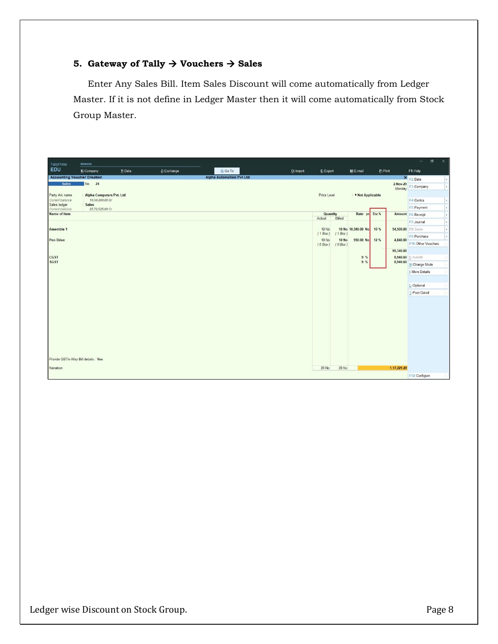## **5. Gateway of Tally** → **Vouchers** → **Sales**

Enter Any Sales Bill. Item Sales Discount will come automatically from Ledger Master. If it is not define in Ledger Master then it will come automatically from Stock Group Master.

| TallyPrime                                 | <b>MANAGE</b>            |         |             |                                 |             |                    |                         |                    |          |                     | $\sigma$<br>$-$      | $\times$ |
|--------------------------------------------|--------------------------|---------|-------------|---------------------------------|-------------|--------------------|-------------------------|--------------------|----------|---------------------|----------------------|----------|
| EDU                                        | K: Company               | Y: Data | Z: Exchange | G: Go To                        | O: Import   | E: Export          |                         | M: E-mail          | P: Print |                     | F1: Help             |          |
| <b>Accounting Voucher Creation</b>         |                          |         |             | <b>Alpha Automation Pvt Ltd</b> |             |                    |                         |                    |          |                     | X F2: Date           |          |
| <b>Sales</b>                               | No. 24                   |         |             |                                 |             |                    |                         |                    |          | 2-Nov-20<br>Monday  | F3: Company          |          |
| Party A/c name<br>Alpha Computers Pvt. Ltd |                          |         |             |                                 | Price Level |                    | : • Not Applicable      |                    |          |                     |                      |          |
| Current balance                            | 14,50,200.00 Dr          |         |             |                                 |             |                    |                         |                    |          |                     | F4: Contra           |          |
| Sales ledger<br>Current balance            | Sales<br>87,72,525.00 Cr |         |             |                                 |             |                    |                         |                    |          |                     | F5: Payment          |          |
| Name of Item                               |                          |         |             |                                 |             | Quantity<br>Actual | Billed                  | Rate pe            | Disc %   |                     | Amount F6: Receipt   |          |
|                                            |                          |         |             |                                 |             |                    |                         |                    |          |                     | F7: Journal          |          |
| <b>Assemble 1</b>                          |                          |         |             |                                 |             | <b>10 No</b>       |                         | 10 No 10,500.00 No | 10 %     | 94,500.00 F8: Sales |                      |          |
| <b>Pen Drive</b>                           |                          |         |             |                                 |             | (1 Box)<br>10 No   | (1 Box)<br><b>10 No</b> | 550.00 No          | 12 %     | 4.840.00            | F9: Purchase         |          |
|                                            |                          |         |             |                                 |             | $(0$ Box)          | $(0$ Box)               |                    |          |                     | F10: Other Vouchers  |          |
|                                            |                          |         |             |                                 |             |                    |                         |                    |          | 99,340.00           |                      |          |
| <b>CGST</b><br><b>SGST</b>                 |                          |         |             |                                 |             |                    |                         | 9%<br>9%           |          | 8,940.60            | 8,940.60 E: Autofill |          |
|                                            |                          |         |             |                                 |             |                    |                         |                    |          |                     | H: Change Mode       |          |
|                                            |                          |         |             |                                 |             |                    |                         |                    |          |                     | I: More Details      |          |
|                                            |                          |         |             |                                 |             |                    |                         |                    |          |                     |                      |          |
|                                            |                          |         |             |                                 |             |                    |                         |                    |          |                     | L: Optional          |          |
|                                            |                          |         |             |                                 |             |                    |                         |                    |          |                     | T: Post-Dated        |          |
|                                            |                          |         |             |                                 |             |                    |                         |                    |          |                     |                      |          |
|                                            |                          |         |             |                                 |             |                    |                         |                    |          |                     |                      |          |
|                                            |                          |         |             |                                 |             |                    |                         |                    |          |                     |                      |          |
|                                            |                          |         |             |                                 |             |                    |                         |                    |          |                     |                      |          |
|                                            |                          |         |             |                                 |             |                    |                         |                    |          |                     |                      |          |
|                                            |                          |         |             |                                 |             |                    |                         |                    |          |                     |                      |          |
|                                            |                          |         |             |                                 |             |                    |                         |                    |          |                     |                      |          |
|                                            |                          |         |             |                                 |             |                    |                         |                    |          |                     |                      |          |
| Provide GST/e-Way Bill details: Yes        |                          |         |             |                                 |             |                    |                         |                    |          |                     |                      |          |
| Narration:                                 |                          |         |             |                                 |             | 20 No              | 20 No                   |                    |          | 1,17,221.20         |                      |          |
|                                            |                          |         |             |                                 |             |                    |                         |                    |          |                     | F12: Configure       |          |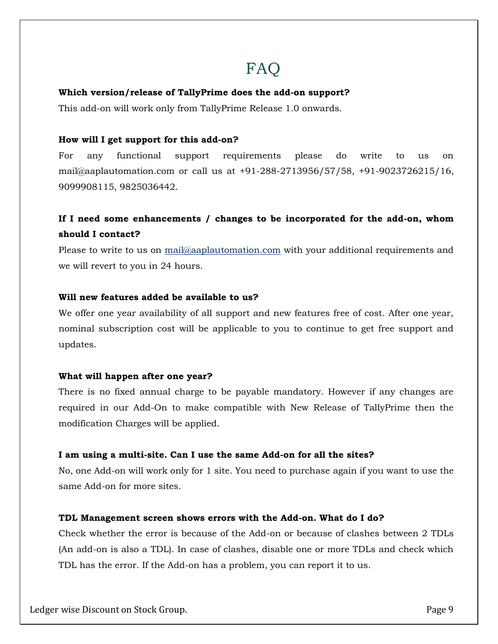# FAQ

#### **Which version/release of TallyPrime does the add-on support?**

This add-on will work only from TallyPrime Release 1.0 onwards.

#### **How will I get support for this add-on?**

For any functional support requirements please do write to us on mail@aaplautomation.com or call us at +91-288-2713956/57/58, +91-9023726215/16, 9099908115, 9825036442.

# **If I need some enhancements / changes to be incorporated for the add-on, whom should I contact?**

Please to write to us on mail@aaplautomation.com with your additional requirements and we will revert to you in 24 hours.

#### **Will new features added be available to us?**

We offer one year availability of all support and new features free of cost. After one year, nominal subscription cost will be applicable to you to continue to get free support and updates.

#### **What will happen after one year?**

There is no fixed annual charge to be payable mandatory. However if any changes are required in our Add-On to make compatible with New Release of TallyPrime then the modification Charges will be applied.

#### **I am using a multi-site. Can I use the same Add-on for all the sites?**

No, one Add-on will work only for 1 site. You need to purchase again if you want to use the same Add-on for more sites.

#### **TDL Management screen shows errors with the Add-on. What do I do?**

Check whether the error is because of the Add-on or because of clashes between 2 TDLs (An add-on is also a TDL). In case of clashes, disable one or more TDLs and check which TDL has the error. If the Add-on has a problem, you can report it to us.